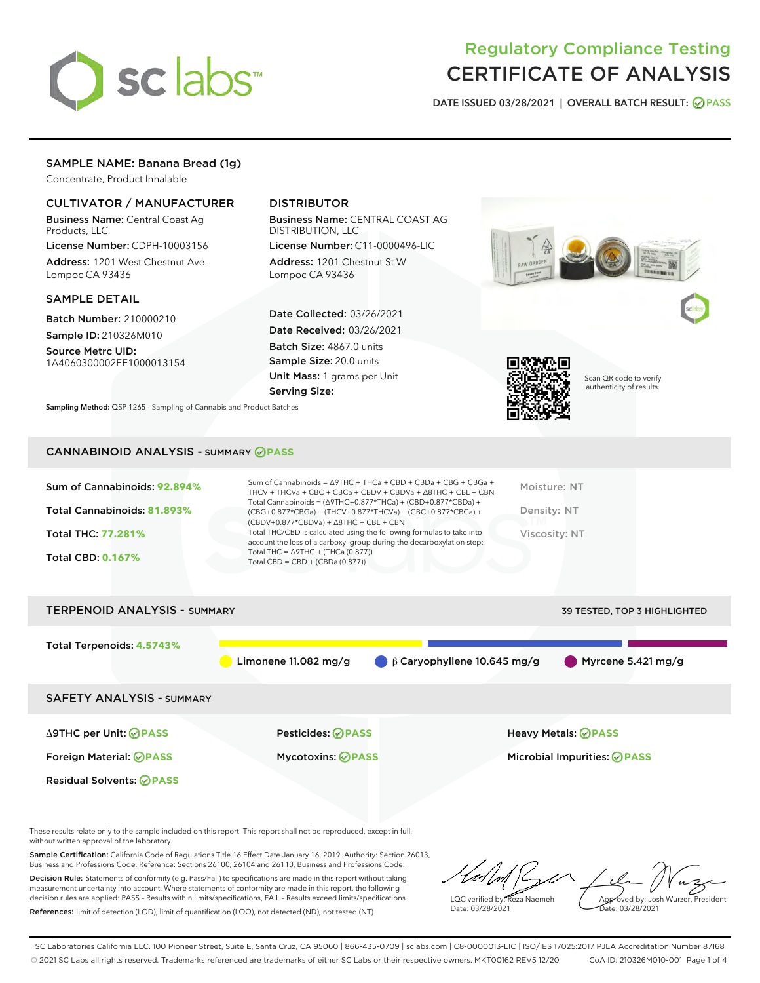

# Regulatory Compliance Testing CERTIFICATE OF ANALYSIS

DATE ISSUED 03/28/2021 | OVERALL BATCH RESULT: @ PASS

# SAMPLE NAME: Banana Bread (1g)

Concentrate, Product Inhalable

# CULTIVATOR / MANUFACTURER

Business Name: Central Coast Ag Products, LLC

License Number: CDPH-10003156 Address: 1201 West Chestnut Ave. Lompoc CA 93436

## SAMPLE DETAIL

Batch Number: 210000210 Sample ID: 210326M010

Source Metrc UID: 1A4060300002EE1000013154

# DISTRIBUTOR

Business Name: CENTRAL COAST AG DISTRIBUTION, LLC

License Number: C11-0000496-LIC Address: 1201 Chestnut St W Lompoc CA 93436

Date Collected: 03/26/2021 Date Received: 03/26/2021 Batch Size: 4867.0 units Sample Size: 20.0 units Unit Mass: 1 grams per Unit Serving Size:





Scan QR code to verify authenticity of results.

Sampling Method: QSP 1265 - Sampling of Cannabis and Product Batches

## CANNABINOID ANALYSIS - SUMMARY **PASS**

| Sum of Cannabinoids: 92.894%<br>Total Cannabinoids: 81.893% | Sum of Cannabinoids = ∆9THC + THCa + CBD + CBDa + CBG + CBGa +<br>THCV + THCVa + CBC + CBCa + CBDV + CBDVa + $\Delta$ 8THC + CBL + CBN<br>Total Cannabinoids = $(\Delta$ 9THC+0.877*THCa) + (CBD+0.877*CBDa) +<br>$(CBG+0.877*CBGa) + (THCV+0.877*THCVa) + (CBC+0.877*CBCa) +$<br>$(CBDV+0.877*CBDVa) + \Delta 8THC + CBL + CBN$ | Moisture: NT<br>Density: NT |
|-------------------------------------------------------------|----------------------------------------------------------------------------------------------------------------------------------------------------------------------------------------------------------------------------------------------------------------------------------------------------------------------------------|-----------------------------|
| Total THC: 77.281%                                          | Total THC/CBD is calculated using the following formulas to take into<br>account the loss of a carboxyl group during the decarboxylation step:                                                                                                                                                                                   | Viscosity: NT               |
| <b>Total CBD: 0.167%</b>                                    | Total THC = $\triangle$ 9THC + (THCa (0.877))<br>Total CBD = $CBD + (CBDa (0.877))$                                                                                                                                                                                                                                              |                             |
|                                                             |                                                                                                                                                                                                                                                                                                                                  |                             |



These results relate only to the sample included on this report. This report shall not be reproduced, except in full, without written approval of the laboratory.

Sample Certification: California Code of Regulations Title 16 Effect Date January 16, 2019. Authority: Section 26013, Business and Professions Code. Reference: Sections 26100, 26104 and 26110, Business and Professions Code.

Decision Rule: Statements of conformity (e.g. Pass/Fail) to specifications are made in this report without taking measurement uncertainty into account. Where statements of conformity are made in this report, the following decision rules are applied: PASS – Results within limits/specifications, FAIL – Results exceed limits/specifications. References: limit of detection (LOD), limit of quantification (LOQ), not detected (ND), not tested (NT)

LQC verified by: Reza Naemeh Date: 03/28/2021 Approved by: Josh Wurzer, President Date: 03/28/2021

SC Laboratories California LLC. 100 Pioneer Street, Suite E, Santa Cruz, CA 95060 | 866-435-0709 | sclabs.com | C8-0000013-LIC | ISO/IES 17025:2017 PJLA Accreditation Number 87168 © 2021 SC Labs all rights reserved. Trademarks referenced are trademarks of either SC Labs or their respective owners. MKT00162 REV5 12/20 CoA ID: 210326M010-001 Page 1 of 4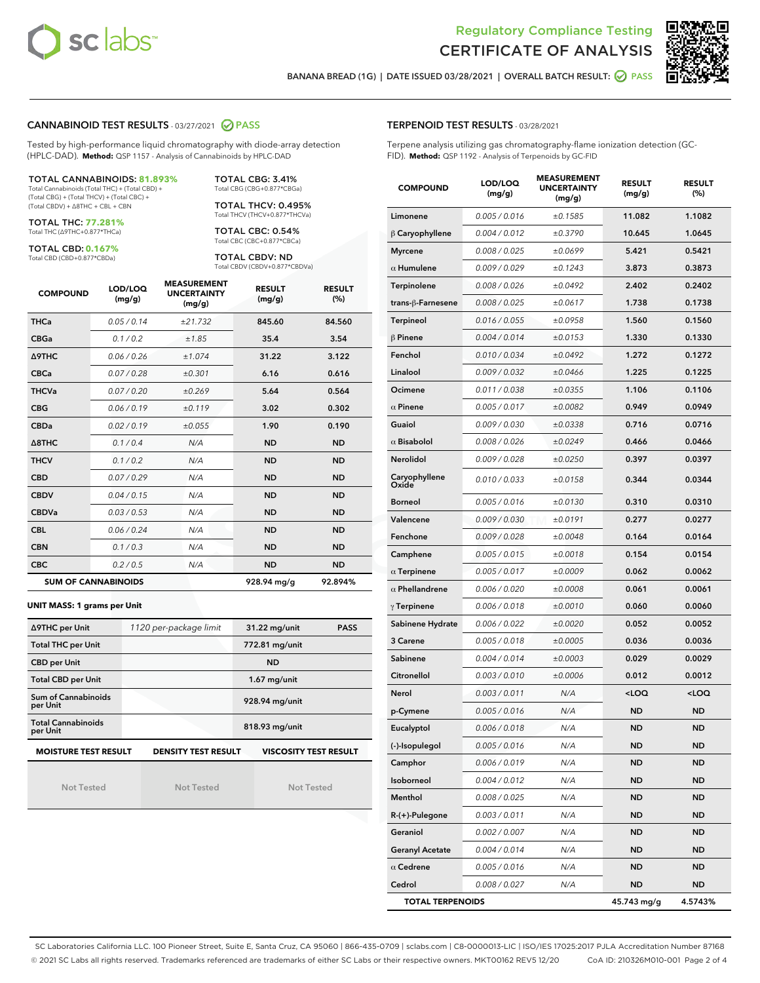



BANANA BREAD (1G) | DATE ISSUED 03/28/2021 | OVERALL BATCH RESULT: @ PASS

## CANNABINOID TEST RESULTS - 03/27/2021 2 PASS

Tested by high-performance liquid chromatography with diode-array detection (HPLC-DAD). **Method:** QSP 1157 - Analysis of Cannabinoids by HPLC-DAD

#### TOTAL CANNABINOIDS: **81.893%**

Total Cannabinoids (Total THC) + (Total CBD) + (Total CBG) + (Total THCV) + (Total CBC) + (Total CBDV) + ∆8THC + CBL + CBN

TOTAL THC: **77.281%** Total THC (∆9THC+0.877\*THCa)

TOTAL CBD: **0.167%**

Total CBD (CBD+0.877\*CBDa)

TOTAL CBG: 3.41% Total CBG (CBG+0.877\*CBGa)

TOTAL THCV: 0.495% Total THCV (THCV+0.877\*THCVa)

TOTAL CBC: 0.54% Total CBC (CBC+0.877\*CBCa)

TOTAL CBDV: ND Total CBDV (CBDV+0.877\*CBDVa)

| <b>COMPOUND</b> | LOD/LOQ<br>(mg/g)          | <b>MEASUREMENT</b><br><b>UNCERTAINTY</b><br>(mg/g) | <b>RESULT</b><br>(mg/g) | <b>RESULT</b><br>(%) |
|-----------------|----------------------------|----------------------------------------------------|-------------------------|----------------------|
| <b>THCa</b>     | 0.05/0.14                  | ±21.732                                            | 845.60                  | 84.560               |
| <b>CBGa</b>     | 0.1/0.2                    | ±1.85                                              | 35.4                    | 3.54                 |
| <b>A9THC</b>    | 0.06 / 0.26                | ±1.074                                             | 31.22                   | 3.122                |
| <b>CBCa</b>     | 0.07 / 0.28                | ±0.301                                             | 6.16                    | 0.616                |
| <b>THCVa</b>    | 0.07/0.20                  | ±0.269                                             | 5.64                    | 0.564                |
| <b>CBG</b>      | 0.06/0.19                  | ±0.119                                             | 3.02                    | 0.302                |
| <b>CBDa</b>     | 0.02/0.19                  | ±0.055                                             | 1.90                    | 0.190                |
| A8THC           | 0.1/0.4                    | N/A                                                | <b>ND</b>               | <b>ND</b>            |
| <b>THCV</b>     | 0.1 / 0.2                  | N/A                                                | <b>ND</b>               | <b>ND</b>            |
| <b>CBD</b>      | 0.07/0.29                  | N/A                                                | <b>ND</b>               | <b>ND</b>            |
| <b>CBDV</b>     | 0.04 / 0.15                | N/A                                                | <b>ND</b>               | <b>ND</b>            |
| <b>CBDVa</b>    | 0.03/0.53                  | N/A                                                | <b>ND</b>               | <b>ND</b>            |
| <b>CBL</b>      | 0.06 / 0.24                | N/A                                                | <b>ND</b>               | <b>ND</b>            |
| <b>CBN</b>      | 0.1/0.3                    | N/A                                                | <b>ND</b>               | <b>ND</b>            |
| <b>CBC</b>      | 0.2 / 0.5                  | N/A                                                | <b>ND</b>               | <b>ND</b>            |
|                 | <b>SUM OF CANNABINOIDS</b> |                                                    | 928.94 mg/g             | 92.894%              |

#### **UNIT MASS: 1 grams per Unit**

| ∆9THC per Unit                                                                            | 1120 per-package limit | 31.22 mg/unit<br><b>PASS</b> |  |  |  |
|-------------------------------------------------------------------------------------------|------------------------|------------------------------|--|--|--|
| <b>Total THC per Unit</b>                                                                 |                        | 772.81 mg/unit               |  |  |  |
| <b>CBD per Unit</b>                                                                       |                        | <b>ND</b>                    |  |  |  |
| <b>Total CBD per Unit</b>                                                                 |                        | $1.67$ mg/unit               |  |  |  |
| Sum of Cannabinoids<br>per Unit                                                           |                        | 928.94 mg/unit               |  |  |  |
| <b>Total Cannabinoids</b><br>per Unit                                                     |                        | 818.93 mg/unit               |  |  |  |
| <b>MOISTURE TEST RESULT</b><br><b>DENSITY TEST RESULT</b><br><b>VISCOSITY TEST RESULT</b> |                        |                              |  |  |  |

Not Tested

Not Tested

Not Tested

#### TERPENOID TEST RESULTS - 03/28/2021

Terpene analysis utilizing gas chromatography-flame ionization detection (GC-FID). **Method:** QSP 1192 - Analysis of Terpenoids by GC-FID

| <b>COMPOUND</b>         | LOD/LOQ<br>(mg/g) | <b>MEASUREMENT</b><br><b>UNCERTAINTY</b><br>(mg/g) | <b>RESULT</b><br>(mg/g)                         | <b>RESULT</b><br>$(\%)$ |
|-------------------------|-------------------|----------------------------------------------------|-------------------------------------------------|-------------------------|
| Limonene                | 0.005 / 0.016     | ±0.1585                                            | 11.082                                          | 1.1082                  |
| $\beta$ Caryophyllene   | 0.004 / 0.012     | ±0.3790                                            | 10.645                                          | 1.0645                  |
| <b>Myrcene</b>          | 0.008 / 0.025     | ±0.0699                                            | 5.421                                           | 0.5421                  |
| $\alpha$ Humulene       | 0.009 / 0.029     | ±0.1243                                            | 3.873                                           | 0.3873                  |
| Terpinolene             | 0.008 / 0.026     | ±0.0492                                            | 2.402                                           | 0.2402                  |
| trans-ß-Farnesene       | 0.008 / 0.025     | ±0.0617                                            | 1.738                                           | 0.1738                  |
| <b>Terpineol</b>        | 0.016 / 0.055     | ±0.0958                                            | 1.560                                           | 0.1560                  |
| $\beta$ Pinene          | 0.004 / 0.014     | ±0.0153                                            | 1.330                                           | 0.1330                  |
| Fenchol                 | 0.010 / 0.034     | ±0.0492                                            | 1.272                                           | 0.1272                  |
| Linalool                | 0.009 / 0.032     | ±0.0466                                            | 1.225                                           | 0.1225                  |
| Ocimene                 | 0.011 / 0.038     | ±0.0355                                            | 1.106                                           | 0.1106                  |
| $\alpha$ Pinene         | 0.005 / 0.017     | ±0.0082                                            | 0.949                                           | 0.0949                  |
| Guaiol                  | 0.009 / 0.030     | ±0.0338                                            | 0.716                                           | 0.0716                  |
| $\alpha$ Bisabolol      | 0.008 / 0.026     | ±0.0249                                            | 0.466                                           | 0.0466                  |
| <b>Nerolidol</b>        | 0.009 / 0.028     | ±0.0250                                            | 0.397                                           | 0.0397                  |
| Caryophyllene<br>Oxide  | 0.010 / 0.033     | ±0.0158                                            | 0.344                                           | 0.0344                  |
| <b>Borneol</b>          | 0.005 / 0.016     | ±0.0130                                            | 0.310                                           | 0.0310                  |
| Valencene               | 0.009 / 0.030     | ±0.0191                                            | 0.277                                           | 0.0277                  |
| Fenchone                | 0.009 / 0.028     | ±0.0048                                            | 0.164                                           | 0.0164                  |
| Camphene                | 0.005 / 0.015     | ±0.0018                                            | 0.154                                           | 0.0154                  |
| $\alpha$ Terpinene      | 0.005 / 0.017     | ±0.0009                                            | 0.062                                           | 0.0062                  |
| $\alpha$ Phellandrene   | 0.006 / 0.020     | ±0.0008                                            | 0.061                                           | 0.0061                  |
| $\gamma$ Terpinene      | 0.006 / 0.018     | ±0.0010                                            | 0.060                                           | 0.0060                  |
| Sabinene Hydrate        | 0.006 / 0.022     | ±0.0020                                            | 0.052                                           | 0.0052                  |
| 3 Carene                | 0.005 / 0.018     | ±0.0005                                            | 0.036                                           | 0.0036                  |
| Sabinene                | 0.004 / 0.014     | ±0.0003                                            | 0.029                                           | 0.0029                  |
| Citronellol             | 0.003 / 0.010     | ±0.0006                                            | 0.012                                           | 0.0012                  |
| Nerol                   | 0.003 / 0.011     | N/A                                                | <loq< th=""><th><loq< th=""></loq<></th></loq<> | <loq< th=""></loq<>     |
| p-Cymene                | 0.005 / 0.016     | N/A                                                | ND                                              | <b>ND</b>               |
| Eucalyptol              | 0.006 / 0.018     | N/A                                                | <b>ND</b>                                       | <b>ND</b>               |
| (-)-Isopulegol          | 0.005 / 0.016     | N/A                                                | ND                                              | ND                      |
| Camphor                 | 0.006 / 0.019     | N/A                                                | <b>ND</b>                                       | <b>ND</b>               |
| Isoborneol              | 0.004 / 0.012     | N/A                                                | ND                                              | <b>ND</b>               |
| Menthol                 | 0.008 / 0.025     | N/A                                                | ND                                              | <b>ND</b>               |
| R-(+)-Pulegone          | 0.003 / 0.011     | N/A                                                | ND                                              | ND                      |
| Geraniol                | 0.002 / 0.007     | N/A                                                | ND                                              | ND                      |
| <b>Geranyl Acetate</b>  | 0.004 / 0.014     | N/A                                                | ND                                              | ND                      |
| $\alpha$ Cedrene        | 0.005 / 0.016     | N/A                                                | ND                                              | ND                      |
| Cedrol                  | 0.008 / 0.027     | N/A                                                | ND                                              | <b>ND</b>               |
| <b>TOTAL TERPENOIDS</b> |                   |                                                    | 45.743 mg/g                                     | 4.5743%                 |

SC Laboratories California LLC. 100 Pioneer Street, Suite E, Santa Cruz, CA 95060 | 866-435-0709 | sclabs.com | C8-0000013-LIC | ISO/IES 17025:2017 PJLA Accreditation Number 87168 © 2021 SC Labs all rights reserved. Trademarks referenced are trademarks of either SC Labs or their respective owners. MKT00162 REV5 12/20 CoA ID: 210326M010-001 Page 2 of 4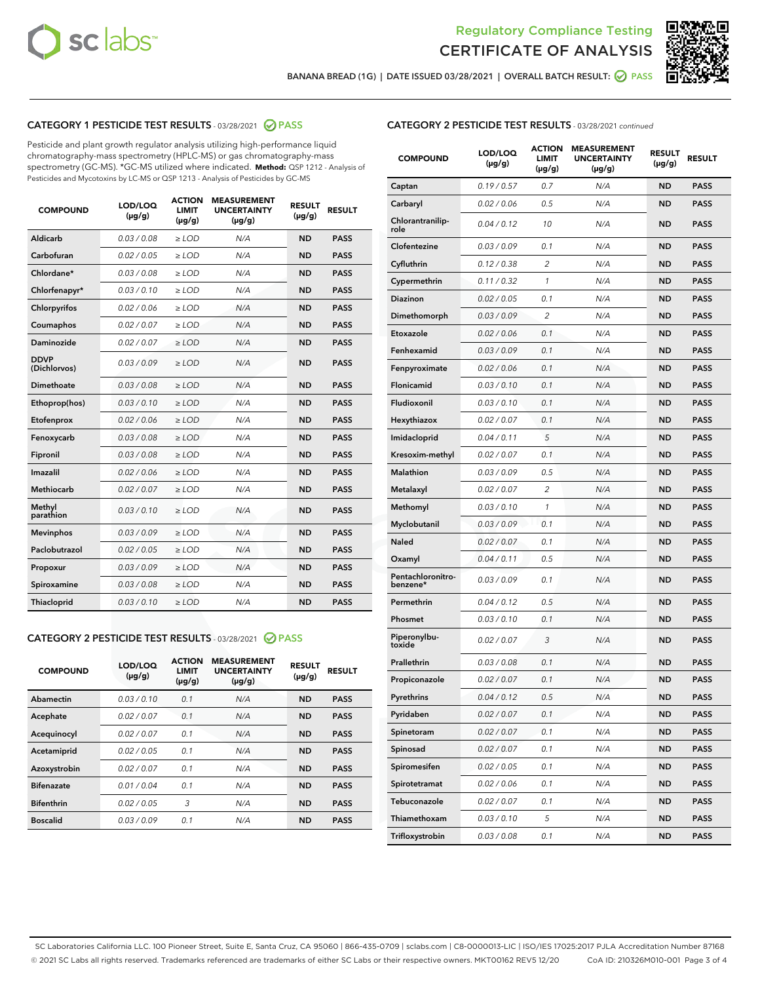



BANANA BREAD (1G) | DATE ISSUED 03/28/2021 | OVERALL BATCH RESULT: @ PASS

# CATEGORY 1 PESTICIDE TEST RESULTS - 03/28/2021 2 PASS

Pesticide and plant growth regulator analysis utilizing high-performance liquid chromatography-mass spectrometry (HPLC-MS) or gas chromatography-mass spectrometry (GC-MS). \*GC-MS utilized where indicated. **Method:** QSP 1212 - Analysis of Pesticides and Mycotoxins by LC-MS or QSP 1213 - Analysis of Pesticides by GC-MS

| <b>COMPOUND</b>             | LOD/LOQ<br>$(\mu g/g)$ | <b>ACTION</b><br><b>LIMIT</b><br>$(\mu g/g)$ | <b>MEASUREMENT</b><br><b>UNCERTAINTY</b><br>$(\mu g/g)$ | <b>RESULT</b><br>$(\mu g/g)$ | <b>RESULT</b> |
|-----------------------------|------------------------|----------------------------------------------|---------------------------------------------------------|------------------------------|---------------|
| Aldicarb                    | 0.03 / 0.08            | $\ge$ LOD                                    | N/A                                                     | <b>ND</b>                    | <b>PASS</b>   |
| Carbofuran                  | 0.02/0.05              | $>$ LOD                                      | N/A                                                     | <b>ND</b>                    | <b>PASS</b>   |
| Chlordane*                  | 0.03 / 0.08            | $\ge$ LOD                                    | N/A                                                     | <b>ND</b>                    | <b>PASS</b>   |
| Chlorfenapyr*               | 0.03/0.10              | $\ge$ LOD                                    | N/A                                                     | <b>ND</b>                    | <b>PASS</b>   |
| Chlorpyrifos                | 0.02 / 0.06            | $\ge$ LOD                                    | N/A                                                     | <b>ND</b>                    | <b>PASS</b>   |
| Coumaphos                   | 0.02 / 0.07            | $\ge$ LOD                                    | N/A                                                     | <b>ND</b>                    | <b>PASS</b>   |
| <b>Daminozide</b>           | 0.02 / 0.07            | $\ge$ LOD                                    | N/A                                                     | <b>ND</b>                    | <b>PASS</b>   |
| <b>DDVP</b><br>(Dichlorvos) | 0.03/0.09              | $\ge$ LOD                                    | N/A                                                     | <b>ND</b>                    | <b>PASS</b>   |
| <b>Dimethoate</b>           | 0.03 / 0.08            | $\ge$ LOD                                    | N/A                                                     | <b>ND</b>                    | <b>PASS</b>   |
| Ethoprop(hos)               | 0.03/0.10              | $\ge$ LOD                                    | N/A                                                     | <b>ND</b>                    | <b>PASS</b>   |
| Etofenprox                  | 0.02 / 0.06            | $\ge$ LOD                                    | N/A                                                     | <b>ND</b>                    | <b>PASS</b>   |
| Fenoxycarb                  | 0.03 / 0.08            | $\ge$ LOD                                    | N/A                                                     | <b>ND</b>                    | <b>PASS</b>   |
| Fipronil                    | 0.03 / 0.08            | $>$ LOD                                      | N/A                                                     | <b>ND</b>                    | <b>PASS</b>   |
| <b>Imazalil</b>             | 0.02 / 0.06            | $\ge$ LOD                                    | N/A                                                     | <b>ND</b>                    | <b>PASS</b>   |
| <b>Methiocarb</b>           | 0.02 / 0.07            | $\ge$ LOD                                    | N/A                                                     | <b>ND</b>                    | <b>PASS</b>   |
| Methyl<br>parathion         | 0.03/0.10              | $\ge$ LOD                                    | N/A                                                     | <b>ND</b>                    | <b>PASS</b>   |
| <b>Mevinphos</b>            | 0.03/0.09              | $>$ LOD                                      | N/A                                                     | <b>ND</b>                    | <b>PASS</b>   |
| Paclobutrazol               | 0.02 / 0.05            | $\ge$ LOD                                    | N/A                                                     | <b>ND</b>                    | <b>PASS</b>   |
| Propoxur                    | 0.03/0.09              | $>$ LOD                                      | N/A                                                     | <b>ND</b>                    | <b>PASS</b>   |
| Spiroxamine                 | 0.03 / 0.08            | $\ge$ LOD                                    | N/A                                                     | <b>ND</b>                    | <b>PASS</b>   |
| <b>Thiacloprid</b>          | 0.03/0.10              | $\ge$ LOD                                    | N/A                                                     | <b>ND</b>                    | <b>PASS</b>   |

## CATEGORY 2 PESTICIDE TEST RESULTS - 03/28/2021 @ PASS

| LOD/LOQ<br>$(\mu g/g)$ | <b>ACTION</b><br>LIMIT<br>$(\mu g/g)$ | <b>MEASUREMENT</b><br><b>UNCERTAINTY</b><br>$(\mu g/g)$ | <b>RESULT</b><br>$(\mu g/g)$ | <b>RESULT</b> |
|------------------------|---------------------------------------|---------------------------------------------------------|------------------------------|---------------|
| 0.03/0.10              | 0.1                                   | N/A                                                     | <b>ND</b>                    | <b>PASS</b>   |
| 0.02/0.07              | 0.1                                   | N/A                                                     | <b>ND</b>                    | <b>PASS</b>   |
| 0.02/0.07              | 0.1                                   | N/A                                                     | <b>ND</b>                    | <b>PASS</b>   |
| 0.02/0.05              | 0.1                                   | N/A                                                     | <b>ND</b>                    | <b>PASS</b>   |
| 0.02/0.07              | 0.1                                   | N/A                                                     | <b>ND</b>                    | <b>PASS</b>   |
| 0.01/0.04              | 0.1                                   | N/A                                                     | <b>ND</b>                    | <b>PASS</b>   |
| 0.02/0.05              | 3                                     | N/A                                                     | <b>ND</b>                    | <b>PASS</b>   |
| 0.03/0.09              | 0.1                                   | N/A                                                     | <b>ND</b>                    | <b>PASS</b>   |
|                        |                                       |                                                         |                              |               |

# CATEGORY 2 PESTICIDE TEST RESULTS - 03/28/2021 continued

| <b>COMPOUND</b>               | <b>LOD/LOQ</b><br>$(\mu g/g)$ | <b>ACTION</b><br>LIMIT<br>$(\mu g/g)$ | <b>MEASUREMENT</b><br><b>UNCERTAINTY</b><br>(µg/g) | <b>RESULT</b><br>(µg/g) | <b>RESULT</b> |
|-------------------------------|-------------------------------|---------------------------------------|----------------------------------------------------|-------------------------|---------------|
| Captan                        | 0.19/0.57                     | 0.7                                   | N/A                                                | <b>ND</b>               | <b>PASS</b>   |
| Carbaryl                      | 0.02 / 0.06                   | 0.5                                   | N/A                                                | ND                      | <b>PASS</b>   |
| Chlorantranilip-<br>role      | 0.04 / 0.12                   | 10                                    | N/A                                                | <b>ND</b>               | <b>PASS</b>   |
| Clofentezine                  | 0.03 / 0.09                   | 0.1                                   | N/A                                                | ND                      | <b>PASS</b>   |
| Cyfluthrin                    | 0.12 / 0.38                   | $\overline{c}$                        | N/A                                                | ND                      | <b>PASS</b>   |
| Cypermethrin                  | 0.11 / 0.32                   | 1                                     | N/A                                                | ND                      | <b>PASS</b>   |
| <b>Diazinon</b>               | 0.02 / 0.05                   | 0.1                                   | N/A                                                | ND                      | <b>PASS</b>   |
| Dimethomorph                  | 0.03 / 0.09                   | 2                                     | N/A                                                | <b>ND</b>               | <b>PASS</b>   |
| Etoxazole                     | 0.02 / 0.06                   | 0.1                                   | N/A                                                | ND                      | <b>PASS</b>   |
| Fenhexamid                    | 0.03 / 0.09                   | 0.1                                   | N/A                                                | ND                      | <b>PASS</b>   |
| Fenpyroximate                 | 0.02 / 0.06                   | 0.1                                   | N/A                                                | <b>ND</b>               | <b>PASS</b>   |
| Flonicamid                    | 0.03 / 0.10                   | 0.1                                   | N/A                                                | ND                      | <b>PASS</b>   |
| Fludioxonil                   | 0.03/0.10                     | 0.1                                   | N/A                                                | ND                      | <b>PASS</b>   |
| Hexythiazox                   | 0.02 / 0.07                   | 0.1                                   | N/A                                                | <b>ND</b>               | <b>PASS</b>   |
| Imidacloprid                  | 0.04 / 0.11                   | 5                                     | N/A                                                | ND                      | <b>PASS</b>   |
| Kresoxim-methyl               | 0.02 / 0.07                   | 0.1                                   | N/A                                                | ND                      | <b>PASS</b>   |
| <b>Malathion</b>              | 0.03 / 0.09                   | 0.5                                   | N/A                                                | ND                      | <b>PASS</b>   |
| Metalaxyl                     | 0.02 / 0.07                   | 2                                     | N/A                                                | ND                      | <b>PASS</b>   |
| Methomyl                      | 0.03 / 0.10                   | 1                                     | N/A                                                | ND                      | <b>PASS</b>   |
| Myclobutanil                  | 0.03 / 0.09                   | 0.1                                   | N/A                                                | <b>ND</b>               | <b>PASS</b>   |
| <b>Naled</b>                  | 0.02 / 0.07                   | 0.1                                   | N/A                                                | ND                      | <b>PASS</b>   |
| Oxamyl                        | 0.04 / 0.11                   | 0.5                                   | N/A                                                | ND                      | <b>PASS</b>   |
| Pentachloronitro-<br>benzene* | 0.03 / 0.09                   | 0.1                                   | N/A                                                | ND                      | <b>PASS</b>   |
| Permethrin                    | 0.04 / 0.12                   | 0.5                                   | N/A                                                | ND                      | <b>PASS</b>   |
| Phosmet                       | 0.03 / 0.10                   | 0.1                                   | N/A                                                | ND                      | <b>PASS</b>   |
| Piperonylbu-<br>toxide        | 0.02 / 0.07                   | 3                                     | N/A                                                | <b>ND</b>               | <b>PASS</b>   |
| Prallethrin                   | 0.03 / 0.08                   | 0.1                                   | N/A                                                | <b>ND</b>               | <b>PASS</b>   |
| Propiconazole                 | 0.02 / 0.07                   | 0.1                                   | N/A                                                | <b>ND</b>               | <b>PASS</b>   |
| Pyrethrins                    | 0.04 / 0.12                   | 0.5                                   | N/A                                                | ND                      | PASS          |
| Pyridaben                     | 0.02 / 0.07                   | 0.1                                   | N/A                                                | <b>ND</b>               | <b>PASS</b>   |
| Spinetoram                    | 0.02 / 0.07                   | 0.1                                   | N/A                                                | <b>ND</b>               | <b>PASS</b>   |
| Spinosad                      | 0.02 / 0.07                   | 0.1                                   | N/A                                                | ND                      | <b>PASS</b>   |
| Spiromesifen                  | 0.02 / 0.05                   | 0.1                                   | N/A                                                | <b>ND</b>               | <b>PASS</b>   |
| Spirotetramat                 | 0.02 / 0.06                   | 0.1                                   | N/A                                                | <b>ND</b>               | <b>PASS</b>   |
| Tebuconazole                  | 0.02 / 0.07                   | 0.1                                   | N/A                                                | ND                      | <b>PASS</b>   |
| Thiamethoxam                  | 0.03 / 0.10                   | 5                                     | N/A                                                | <b>ND</b>               | <b>PASS</b>   |
| Trifloxystrobin               | 0.03 / 0.08                   | 0.1                                   | N/A                                                | <b>ND</b>               | <b>PASS</b>   |